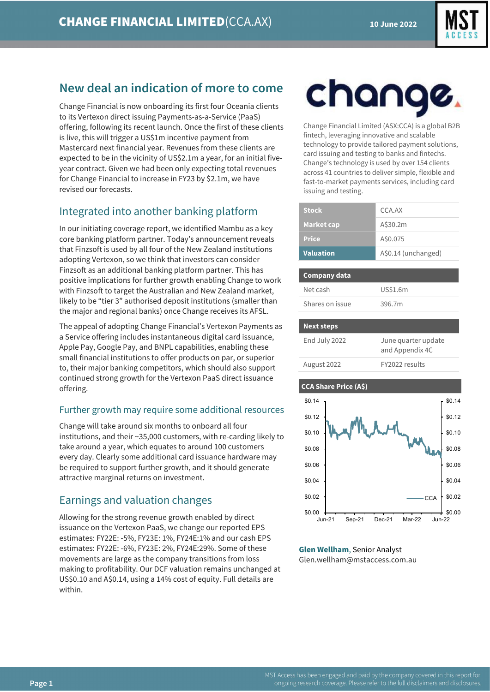

# **New deal an indication of more to come**

Change Financial is now onboarding its first four Oceania clients to its Vertexon direct issuing Payments-as-a-Service (PaaS) offering, following its recent launch. Once the first of these clients is live, this will trigger a US\$1m incentive payment from Mastercard next financial year. Revenues from these clients are expected to be in the vicinity of US\$2.1m a year, for an initial fiveyear contract. Given we had been only expecting total revenues for Change Financial to increase in FY23 by \$2.1m, we have revised our forecasts.

## Integrated into another banking platform

In our initiating coverage report, we identified Mambu as a key core banking platform partner. Today's announcement reveals that Finzsoft is used by all four of the New Zealand institutions adopting Vertexon, so we think that investors can consider Finzsoft as an additional banking platform partner. This has positive implications for further growth enabling Change to work with Finzsoft to target the Australian and New Zealand market, likely to be "tier 3" authorised deposit institutions (smaller than the major and regional banks) once Change receives its AFSL.

The appeal of adopting Change Financial's Vertexon Payments as a Service offering includes instantaneous digital card issuance, Apple Pay, Google Pay, and BNPL capabilities, enabling these small financial institutions to offer products on par, or superior to, their major banking competitors, which should also support continued strong growth for the Vertexon PaaS direct issuance offering.

## Further growth may require some additional resources

Change will take around six months to onboard all four institutions, and their ~35,000 customers, with re-carding likely to take around a year, which equates to around 100 customers every day. Clearly some additional card issuance hardware may be required to support further growth, and it should generate attractive marginal returns on investment.

## Earnings and valuation changes

Allowing for the strong revenue growth enabled by direct issuance on the Vertexon PaaS, we change our reported EPS estimates: FY22E: -5%, FY23E: 1%, FY24E:1% and our cash EPS estimates: FY22E: -6%, FY23E: 2%, FY24E:29%. Some of these movements are large as the company transitions from loss making to profitability. Our DCF valuation remains unchanged at US\$0.10 and A\$0.14, using a 14% cost of equity. Full details are within.

# change

Change Financial Limited (ASX:CCA) is a global B2B fintech, leveraging innovative and scalable technology to provide tailored payment solutions, card issuing and testing to banks and fintechs. Change's technology is used by over 154 clients across 41 countries to deliver simple, flexible and fast-to-market payments services, including card issuing and testing.

| <b>Stock</b>      | CCA.AX              |
|-------------------|---------------------|
| <b>Market cap</b> | A\$30.2m            |
| <b>Price</b>      | A\$0.075            |
| <b>Valuation</b>  | A\$0.14 (unchanged) |

# **Company data** Net cash US\$1.6m Shares on issue 396.7m

| <b>Next steps</b> |                                        |
|-------------------|----------------------------------------|
| End July 2022     | June quarter update<br>and Appendix 4C |
| August 2022       | FY2022 results                         |

#### **CCA Share Price (A\$)**



**Glen Wellham**, Senior Analyst Glen.wellham@mstaccess.com.au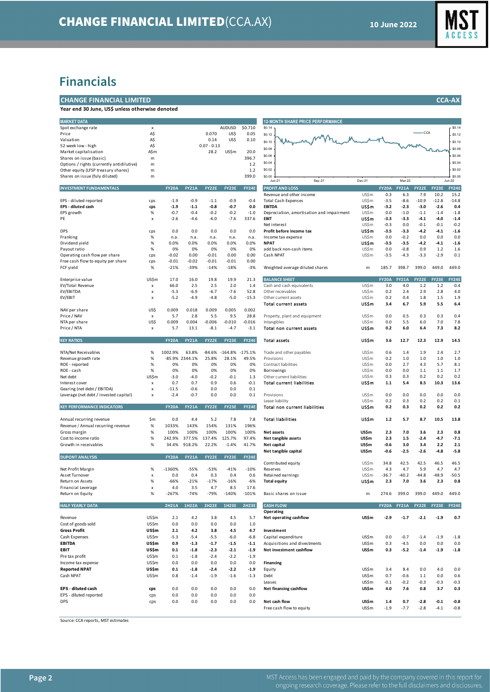

## **Financials**

#### **CHANGE FINANCIAL LIMITED CCA-AX**

**Year end 30 June, US\$ unless otherwise denoted**

| <b>MARKET DATA</b>                        |              |              |                |               |               |              | <b>12-MONTH SHARE PRICE PERFORMANCE</b>   |                      |              |              |         |              |               |
|-------------------------------------------|--------------|--------------|----------------|---------------|---------------|--------------|-------------------------------------------|----------------------|--------------|--------------|---------|--------------|---------------|
| Spot exchange rate                        | x            |              |                |               | <b>AUDUSD</b> | \$0.710      | \$0.14                                    |                      |              |              |         |              | \$0.1         |
| Price                                     | A\$          |              |                | 0.070         | US\$          | 0.05         | \$0.12                                    | Manufacturer was who |              |              |         |              | \$0.1         |
| Valuation                                 | A\$          |              |                | 0.14          | US\$          | 0.10         | \$0.10                                    |                      |              |              |         |              | \$0.1         |
| 52 week low - high                        | A\$          |              |                | $0.07 - 0.13$ |               |              |                                           |                      |              |              |         |              |               |
| Market capitalisation                     | A\$m         |              |                | 28.2          | US\$m         | 20.0         | \$0.08                                    |                      |              |              |         |              | \$0.0         |
| Shares on issue (basic)                   | m            |              |                |               |               | 396.7        | \$0.06                                    |                      |              |              |         |              | \$0.0         |
| Options / rights (currently antidilutive) | m            |              |                |               |               | 1.2          | \$0.04                                    |                      |              |              |         |              | \$0.0         |
| Other equity (LFSP treasury shares)       | m            |              |                |               |               | 1.2          | \$0.02                                    |                      |              |              |         |              | \$0.0         |
| Shares on issue (fuly diluted)            | m            |              |                |               |               | 399.0        | \$0.00                                    |                      |              |              |         |              | \$00          |
|                                           |              |              |                |               |               |              | Sep-21<br>$Jun-21$                        | Dec-21               |              | Mar-22       |         |              | <b>Jun-22</b> |
| <b>INVESTMENT FUNDAMENTALS</b>            |              | <b>FY20A</b> | <b>FY21A</b>   | FY22E         | FY23E         | FY24E        | <b>PROFIT AND LOSS</b>                    |                      | <b>FY20A</b> | <b>FY21A</b> | FY22E   | <b>FY23E</b> | <b>FY248</b>  |
|                                           |              |              |                |               |               |              | Revenue and other income                  | US\$m                | 0.3          | 6.3          | 7.9     | 10.2         | 15.2          |
| EPS - diluted reported                    | cps          | $-1.9$       | $-0.9$         | $-1.1$        | $-0.9$        | $-0.4$       | <b>Total Cash Expenses</b>                | US\$m                | $-3.5$       | $-8.6$       | $-10.9$ | $-12.8$      | $-14.8$       |
| EPS - diluted cash                        | cps          | $-1.9$       | $-1.1$         | $-0.8$        | $-0.7$        | 0.0          | <b>EBITDA</b>                             | US\$m                | $-3.2$       | $-2.3$       | $-3.0$  | $-2.6$       | 0.4           |
| EPS growth                                | %            | $-0.7$       | $-0.4$         | $-0.2$        | $-0.2$        | $-1.0$       | Depreciation, amortisation and impairment | US\$m                | 0.0          | $-1.0$       | $-1.1$  | $-1.4$       | $-1.8$        |
| PE                                        | X            | -2.6         | $-4.6$         | $-6.0$        | $-7.6$        | 337.6        | <b>EBIT</b>                               | US\$m                | $-3.3$       | $-3.3$       | $-4.1$  | $-4.0$       | -1.4          |
|                                           |              |              |                |               |               |              | Net interest                              | US\$m                | $-0.3$       | 0.0          | $-0.1$  | $-0.1$       | $-0.2$        |
|                                           |              |              |                |               |               |              |                                           |                      | $-3.5$       |              | $-4.2$  |              |               |
| <b>DPS</b>                                | cps          | 0.0          | 0.0            | 0.0           | 0.0           | 0.0          | Profit before income tax                  | US\$m                |              | $-3.3$       |         | $-4.1$       | -1.6          |
| Franking                                  | %            | n.a.         | n.a.           | n.a.          | n.a.          | n.a.         | Income tax expense                        | US\$m                | 0.0          | $-0.2$       | 0.0     | 0.0          | 0.0           |
| Dividend yield                            | $\%$         | 0.0%         | 0.0%           | 0.0%          | 0.0%          | 0.0%         | <b>NPAT</b>                               | US\$m                | $-3.5$       | $-3.5$       | $-4.2$  | $-4.1$       | $-1.6$        |
| Payout ratio                              | ℅            | 0%           | 0%             | 0%            | 0%            | 0%           | add back non-cash items                   | US\$m                | 0.0          | $-0.8$       | 0.9     | 1.2          | 1.6           |
| Operating cash flow per share             | cps          | $-0.02$      | 0.00           | $-0.01$       | 0.00          | 0.00         | Cash NPAT                                 | US\$m                | $-3.5$       | $-4.3$       | $-3.3$  | $-2.9$       | 0.1           |
| Free cash flow to equity per share        | cps          | $-0.01$      | $-0.02$        | $-0.01$       | $-0.01$       | 0.00         |                                           |                      |              |              |         |              |               |
| FCF yield                                 | %            | $-21%$       | $-39%$         | $-14%$        | $-18%$        | $-3%$        | Weighted average diluted shares           | m                    | 185.7        | 398.7        | 399.0   | 449.0        | 449.0         |
|                                           |              |              |                |               |               |              |                                           |                      |              |              |         |              |               |
| Enterprise value                          | US\$m        | 17.0         | 16.0           | 19.8          | 19.9          | 21.3         | <b>BALANCE SHEET</b>                      |                      | <b>FY20A</b> | <b>FY21A</b> | FY22E   | <b>FY23E</b> | <b>FY241</b>  |
| EV/Total Revenue                          | x            | 66.0         | 2.5            | 2.5           | 2.0           | 1.4          | Cash and cash equivalents                 | US\$m                | 3.0          | 4.0          | 1.2     | 1.2          | 0.4           |
| EV/EBITDA                                 | X            | $-5.3$       | $-6.9$         | $-6.7$        | $-7.6$        | 52.8         | Other receivables                         | US\$m                | 0.2          | 2.4          | 2.9     | 2.8          | 4.0           |
| EV/EBIT                                   | X            | $-5.2$       | $-4.9$         | $-4.8$        | $-5.0$        | $-15.3$      | Other current assets                      | US\$m                | 0.2          | 0.4          | 1.8     | 1.5          | 1.9           |
|                                           |              |              |                |               |               |              | <b>Total current assets</b>               | US\$m                | 3.4          | 6.7          | 5.9     | 5.5          | 6.4           |
| NAV per share                             | US\$         | 0.009        | 0.018          | 0.009         | 0.005         | 0.002        |                                           |                      |              |              |         |              |               |
| Price / NAV                               | x            | 5.7          | 2.8            | 5.5           | 9.5           | 28.8         | Property, plant and equipment             | US\$m                | 0.0          | 0.5          | 0.3     | 0.3          | 0.4           |
| NTA per share                             | US\$         | 0.009        | 0.004          | $-0.006$      | $-0.010$      | $-0.016$     | Intangibles                               | US\$m                | 0.0          | 5.5          | 6.0     | 7.0          | 7.8           |
| Price / NTA                               | x            | 5.7          | 13.1           | $-8.1$        | $-4.7$        | $-3.1$       | Total non current assets                  | US\$m                | 0.2          | 6.0          | 6.4     | 7.3          | 8.2           |
|                                           |              |              |                |               |               |              |                                           |                      |              |              |         |              |               |
| <b>KEY RATIOS</b>                         |              | <b>FY20A</b> | <b>FY21A</b>   | <b>FY22E</b>  | <b>FY23E</b>  | <b>FY24E</b> | <b>Total assets</b>                       | US\$m                | 3.6          | 12.7         | 12.3    | 12.9         | 14.5          |
|                                           |              |              |                |               |               |              |                                           |                      |              |              |         |              |               |
| NTA/Net Receivables                       | %            | 1002.9%      | 63.8%          | $-84.6%$      | $-164.8%$     | $-175.1%$    | Trade and other payables                  | US\$m                | 0.6          | 1.4          | 1.9     | 2.4          | 2.7           |
| Revenue growth rate                       | %            |              | -85.9% 2344.1% | 25.8%         | 28.1%         | 49.5%        | Provisions                                | US\$m                | 0.2          | 1.0          | 1.0     | 1.0          | 1.0           |
| ROE - reported                            | %            | 0%           | 0%             | 0%            | 0%            | 0%           | Contract liabilities                      | US\$m                | 0.0          | 2.7          | 4.3     | 5.7          | 8.1           |
| ROE - cash                                | ℅            | 0%           | 0%             | 0%            | 0%            | 0%           | Borrowings                                | US\$m                | 0.0          | 0.0          | 1.1     | $1.1\,$      | 1.7           |
| Net debt                                  | US\$m        | $-3.0$       | $-4.0$         | $-0.2$        | $-0.1$        | 1.3          | Other current liabilities                 | US\$m                | 0.3          | 0.3          | 0.2     | 0.2          | 0.2           |
| Interest cover                            | x            | 0.7          | 0.7            | 0.9           | 0.6           | $-0.1$       | <b>Total current liabilities</b>          | US\$m                | $1.1$        | 5.4          | 8.5     | 10.3         | 13.6          |
| Gearing (net debt / EBITDA)               | x            | $-11.5$      | $-0.6$         | 0.0           | 0.0           | 0.1          |                                           |                      |              |              |         |              |               |
| Leverage (net debt / invested capital)    | X            | $-2.4$       | $-0.7$         | 0.0           | 0.0           | 0.1          | Provisions                                | US\$m                | 0.0          | 0.0          | 0.0     | 0.0          | 0.0           |
|                                           |              |              |                |               |               |              | Lease liability                           | US\$m                | 0.2          | 0.3          | 0.2     | 0.2          | 0.1           |
| <b>KEY PERFORMANCE INDICATORS</b>         |              | <b>FY20A</b> | <b>FY21A</b>   | FY22E         | FY23E         | <b>FY24E</b> | Total non current liabilities             | US\$m                | 0.2          | 0.3          | 0.2     | 0.2          | 0.2           |
|                                           |              |              |                |               |               |              |                                           |                      |              |              |         |              |               |
| Annual recurring revenue                  | \$m          | 0.0          | 4.4            | 5.2           | 7.8           | 7.8          | <b>Total liabilities</b>                  | US\$m                | 1.2          | 5.7          | 8.7     | 10.5         | 13.8          |
| Revenue / Annual recurring revenue        | %            | 1033%        | 143%           | 154%          | 131%          | 196%         |                                           |                      |              |              |         |              |               |
|                                           |              |              |                |               |               |              |                                           |                      |              |              |         |              |               |
| Gross margin                              | ℅            | 100%         | 100%           | 100%          | 100%          | 100%         | Net assets                                | US\$m                | 2.3          | 7.0          | 3.6     | 2.3          | 0.8           |
| Cost to income ratio                      | %            | 242.9%       | 377.5%         | 137.4%        | 125.7%        | 97.4%        | Net tangible assets                       | US\$m                | 2.3          | 1.5          | $-2.4$  | $-4.7$       | $-7.1$        |
| Growth in receivables                     | ℅            | 34.4%        | 918.2%         | 22.2%         | $-1.4%$       | 41.7%        | Net capital                               | US\$m                | $-0.6$       | 3.0          | 3.4     | 2.2          | 2.1           |
|                                           |              |              |                |               |               |              | Net tangible capital                      | US\$m                | $-0.6$       | $-2.5$       | $-2.6$  | $-4.8$       | -5.8          |
| <b>DUPONT ANALYSIS</b>                    |              | <b>FY20A</b> | <b>FY21A</b>   | FY22E         | FY23E         | <b>FY24E</b> |                                           |                      |              |              |         |              |               |
|                                           |              |              |                |               |               |              | Contributed equity                        | US\$m                | 34.8         | 42.5         | 42.5    | 46.5         | 46.5          |
| Net Profit Margin                         | %            | -1360%       | $-55%$         | $-53%$        | $-41%$        | $-10%$       | <b>Reserves</b>                           | US\$m                | 4.3          | 4.7          | 5.9     | 4.7          | 4.7           |
| Asset Turnover                            | x            | 0.0          | 0.4            | 0.3           | 0.4           | 0.6          | Retained earnings                         | US\$m                | $-36.7$      | $-40.2$      | $-44.8$ | $-48.9$      | $-50.5$       |
| Return on Assets                          | %            | $-66%$       | $-21%$         | $-17%$        | $-16%$        | $-6%$        | <b>Total equity</b>                       | US\$ m               | 2.3          | 7.0          | 3.6     | 2.3          | 0.8           |
| Financial Leverage                        | x            | 4.0          | 3.5            | 4.7           | 8.5           | 17.6         |                                           |                      |              |              |         |              |               |
| Return on Equity                          | %            | $-267%$      | $-74%$         | $-79%$        | $-140%$       | $-101%$      | Basic shares on issue                     | m                    | 274.6        | 399.0        | 399.0   | 449.0        | 449.0         |
|                                           |              |              |                |               |               |              |                                           |                      |              |              |         |              |               |
| <b>HALF YEARLY DATA</b>                   |              | <b>2H21A</b> | <b>1H22A</b>   | <b>2H22E</b>  | <b>1H23E</b>  | <b>2H23E</b> | <b>CASH FLOW</b>                          |                      | <b>FY20A</b> | <b>FY21A</b> | FY22E   | FY23E        | <b>FY248</b>  |
|                                           |              |              |                |               |               |              | Operating                                 |                      |              |              |         |              |               |
| Revenue                                   | US\$m        | 2.1          | 4.2            | 3.8           | 4.5           | 5.7          | Net operating cashflow                    | US\$m                | $-2.9$       | $-1.7$       | $-2.1$  | $-1.9$       | 0.7           |
| Cost of goods sold                        | <b>US\$m</b> | 0.0          | 0.0            | 0.0           | 0.0           | 1.0          |                                           |                      |              |              |         |              |               |
| <b>Gross Profit</b>                       | US\$m        | 2.1          | 4.2            | 3.8           | 4.5           | 4.7          | Investment                                |                      |              |              |         |              |               |
| Cash Expenses                             | US\$m        | $-5.3$       | $-5.4$         | $-5.5$        | $-6.0$        | $-6.8$       | Capital expenditure                       | US\$m                | 0.0          | $-0.7$       | $-1.4$  | $-1.9$       | $-1.8$        |
| <b>EBITDA</b>                             |              |              |                |               |               |              |                                           |                      |              |              |         |              |               |
|                                           | US\$m        | 0.9          | $-1.3$         | $-1.7$        | $-1.5$        | $-1.1$       | Acquisitions and divestments              | US\$m                | 0.3          | $-4.5$       | 0.0     | 0.0          | 0.0           |
| EBIT                                      | US\$m        | 0.1          | $-1.8$         | $-2.3$        | $-2.1$        | $-1.9$       | Net investment cashflow                   | US\$m                | 0.3          | $-5.2$       | $-1.4$  | $-1.9$       | $-1.8$        |
| Pre tax profit                            | US\$m        | 0.1          | $-1.8$         | $-2.4$        | $-2.2$        | $-1.9$       |                                           |                      |              |              |         |              |               |
| Income tax expense                        | US\$m        | 0.0          | 0.0            | 0.0           | 0.0           | 0.0          | <b>Financing</b>                          |                      |              |              |         |              |               |
| <b>Reported NPAT</b>                      | US\$m        | 0.1          | $-1.8$         | $-2.4$        | $-2.2$        | $-1.9$       | Equity                                    | US\$m                | 3.4          | 8.4          | 0.0     | 4.0          | 0.0           |
| Cash NPAT                                 | <b>US\$m</b> | 0.8          | $-1.4$         | $-1.9$        | $-1.6$        | $-1.3$       | Debt                                      | US\$m                | 0.7          | $-0.6$       | 1.1     | 0.0          | 0.6           |
|                                           |              |              |                |               |               |              | Leases                                    | US\$m                | $-0.1$       | $-0.2$       | $-0.3$  | $-0.3$       | $-0.3$        |
| EPS - diluted cash                        | cps          | 0.0          | 0.0            | 0.0           | 0.0           | 0.0          | Net financing cashflow                    | US\$m                | 4.0          | 7.6          | 0.8     | 3.7          | 0.3           |
| EPS - diluted reported                    | cps          | 0.0          | 0.0            | 0.0           | 0.0           | 0.0          |                                           |                      |              |              |         |              |               |
| DPS                                       | cps          | 0.0          | 0.0            | 0.0           | 0.0           | 0.0          | Net cash flow                             | US\$m                | 1.4          | 0.7          | $-2.8$  | $-0.1$       | $-0.8$        |
|                                           |              |              |                |               |               |              |                                           |                      |              |              |         |              |               |

| <b>12-MONTH SHARE PRICE PERFORMANCE</b>             |                |                     |                     |                  |                  |                      |  |  |  |
|-----------------------------------------------------|----------------|---------------------|---------------------|------------------|------------------|----------------------|--|--|--|
| \$0.14                                              |                |                     |                     | $-CCA$           |                  | \$0.14               |  |  |  |
| \$0.12                                              |                |                     |                     |                  |                  | \$0.12               |  |  |  |
| \$0.10<br>\$0.08                                    |                |                     |                     |                  |                  | \$0.10<br>\$0.08     |  |  |  |
| \$0.06                                              |                |                     |                     |                  |                  | \$0.06               |  |  |  |
| \$0.04                                              |                |                     |                     |                  |                  | \$0.04               |  |  |  |
| \$0.02                                              |                |                     |                     |                  |                  | \$0.02               |  |  |  |
| \$0.00                                              |                |                     |                     |                  |                  | \$0.00               |  |  |  |
| $Jun-21$<br>Sep-21                                  | Dec-21         |                     | Mar-22              |                  |                  | $Jun-22$             |  |  |  |
| <b>PROFIT AND LOSS</b><br>Revenue and other income  | US\$m          | <b>FY20A</b><br>0.3 | <b>FY21A</b><br>6.3 | FY22E<br>7.9     | FY23E<br>10.2    | <b>FY24E</b><br>15.2 |  |  |  |
| <b>Total Cash Expenses</b>                          | US\$m          | $-3.5$              | $-8.6$              | $-10.9$          | $-12.8$          | $-14.8$              |  |  |  |
| <b>EBITDA</b>                                       | US\$m          | $-3.2$              | $-2.3$              | -3.0             | $-2.6$           | 0.4                  |  |  |  |
| Depreciation, amortisation and impairment           | US\$m          | 0.0                 | $-1.0$              | $-1.1$           | $-1.4$           | $-1.8$               |  |  |  |
| <b>EBIT</b><br>Net interest                         | US\$m<br>US\$m | $-3.3$<br>$-0.3$    | -3.3<br>0.0         | $-4.1$<br>$-0.1$ | $-4.0$<br>$-0.1$ | $-1.4$<br>$-0.2$     |  |  |  |
| Profit before income tax                            | US\$m          | $-3.5$              | $-3.3$              | $-4.2$           | $-4.1$           | $-1.6$               |  |  |  |
| Income tax expense                                  | US\$m          | 0.0                 | $-0.2$              | 0.0              | 0.0              | 0.0                  |  |  |  |
| <b>NPAT</b>                                         | US\$m          | $-3.5$              | $-3.5$              | $-4.2$           | $-4.1$           | $-1.6$               |  |  |  |
| add back non-cash items<br>Cash NPAT                | US\$m<br>US\$m | 0.0<br>$-3.5$       | $-0.8$<br>$-4.3$    | 0.9<br>$-3.3$    | 1.2<br>$-2.9$    | 1.6<br>0.1           |  |  |  |
|                                                     |                |                     |                     |                  |                  |                      |  |  |  |
| Weighted average diluted shares                     | m              | 185.7               | 398.7               | 399.0            | 449.0            | 449.0                |  |  |  |
| <b>BALANCE SHEET</b>                                |                | <b>FY20A</b>        | <b>FY21A</b>        | FY22E            | FY23E            | <b>FY24E</b>         |  |  |  |
| Cash and cash equivalents                           | US\$m          | 3.0                 | 4.0                 | 1.2              | 1.2              | 0.4                  |  |  |  |
| Other receivables                                   | US\$m          | 0.2                 | 2.4                 | 2.9              | 2.8              | 4.0                  |  |  |  |
| Other current assets                                | US\$m          | 0.2                 | 0.4                 | 1.8              | 1.5              | 1.9                  |  |  |  |
| <b>Total current assets</b>                         | US\$ m         | 3.4                 | 6.7                 | 5.9              | 5.5              | 6.4                  |  |  |  |
| Property, plant and equipment                       | US\$m          | 0.0                 | 0.5                 | 0.3              | 0.3              | 0.4                  |  |  |  |
| Intangibles                                         | US\$m          | 0.0                 | 5.5                 | 6.0              | 7.0              | 7.8                  |  |  |  |
| Total non current assets                            | US\$m          | 0.2                 | 6.0                 | 6.4              | 7.3              | 8.2                  |  |  |  |
| <b>Total assets</b>                                 | US\$m          | 3.6                 | 12.7                | 12.3             | 12.9             | 14.5                 |  |  |  |
| Trade and other payables                            | US\$m          | 0.6                 | 1.4                 | 1.9              | 2.4              | 2.7                  |  |  |  |
| Provisions                                          | US\$m          | 0.2                 | 1.0                 | 1.0              | 1.0              | 1.0                  |  |  |  |
| Contract liabilities                                | US\$m          | 0.0                 | 2.7                 | 4.3              | 5.7              | 8.1                  |  |  |  |
| Borrowings<br>Other current liabilities             | US\$m<br>US\$m | 0.0<br>0.3          | 0.0<br>0.3          | 1.1<br>0.2       | 1.1<br>0.2       | 1.7<br>0.2           |  |  |  |
| <b>Total current liabilities</b>                    | US\$m          | $1.1$               | 5.4                 | 8.5              | 10.3             | 13.6                 |  |  |  |
|                                                     |                |                     |                     |                  |                  |                      |  |  |  |
| Provisions                                          | US\$m          | 0.0<br>0.2          | 0.0                 | 0.0              | 0.0              | 0.0                  |  |  |  |
| Lease liability<br>Total non current liabilities    | US\$m<br>US\$m | 0.2                 | 0.3<br>0.3          | 0.2<br>0.2       | 0.2<br>0.2       | 0.1<br>0.2           |  |  |  |
| <b>Total liabilities</b>                            | US\$m          | $1.2$               | 5.7                 | 8.7              | 10.5             | 13.8                 |  |  |  |
|                                                     |                |                     |                     |                  |                  |                      |  |  |  |
| Net assets                                          | US\$m<br>US\$m | 2.3<br>2.3          | 7.0<br>1.5          | 3.6<br>$-2.4$    | 2.3<br>$-4.7$    | 0.8<br>$-7.1$        |  |  |  |
| Net tangible assets<br>Net capital                  | <b>US\$m</b>   | $-0.6$              | 3.0                 | 3.4              | 2.2              | 2.1                  |  |  |  |
| Net tangible capital                                | US\$m          | $-0.6$              | $-2.5$              | $-2.6$           | $-4.8$           | $-5.8$               |  |  |  |
|                                                     |                |                     |                     |                  |                  |                      |  |  |  |
| Contributed equity<br><b>Reserves</b>               | US\$m<br>US\$m | 34.8<br>4.3         | 42.5<br>4.7         | 42.5<br>5.9      | 46.5<br>4.7      | 46.5<br>4.7          |  |  |  |
| Retained earnings                                   | US\$m          | $-36.7$             | $-40.2$             | $-44.8$          | $-48.9$          | $-50.5$              |  |  |  |
| <b>Total equity</b>                                 | US\$m          | 2.3                 | 7.0                 | 3.6              | 2.3              | 0.8                  |  |  |  |
| Basic shares on issue                               | m              | 274.6               | 399.0               | 399.0            | 449.0            | 449.0                |  |  |  |
| <b>CASH FLOW</b>                                    |                | <b>FY20A</b>        | <b>FY21A</b>        | <b>FY22E</b>     | FY23E            | <b>FY24E</b>         |  |  |  |
| Operating                                           |                |                     |                     |                  |                  |                      |  |  |  |
| Net operating cashflow                              | US\$m          | $-2.9$              | $-1.7$              | $-2.1$           | $-1.9$           | 0.7                  |  |  |  |
| Investment                                          |                |                     |                     |                  |                  |                      |  |  |  |
| Capital expenditure<br>Acquisitions and divestments | US\$m<br>US\$m | 0.0<br>0.3          | $-0.7$<br>$-4.5$    | $-1.4$<br>0.0    | $-1.9$<br>0.0    | $-1.8$<br>0.0        |  |  |  |
| Net investment cashflow                             | US\$m          | 0.3                 | $-5.2$              | $-1.4$           | $-1.9$           | $-1.8$               |  |  |  |
|                                                     |                |                     |                     |                  |                  |                      |  |  |  |
| <b>Financing</b><br>Equity                          | US\$m          | 3.4                 | 8.4                 | 0.0              | 4.0              | 0.0                  |  |  |  |
| Debt                                                | US\$m          | 0.7                 | $-0.6$              | $1.1\,$          | 0.0              | 0.6                  |  |  |  |
| Leases                                              | US\$m          | $-0.1$              | $-0.2$              | $-0.3$           | $-0.3$           | $-0.3$               |  |  |  |
| Net financing cashflow                              | US\$m          | 4.0                 | 7.6                 | 0.8              | 3.7              | 0.3                  |  |  |  |
| Net cash flow                                       | US\$m          | 1.4                 | 0.7                 | $-2.8$           | $-0.1$           | $-0.8$               |  |  |  |
| Free cash flow to equity                            | US\$m          | $-1.9$              | $-7.7$              | $-2.8$           | $-4.1$           | $-0.8$               |  |  |  |

Source: CCA reports, MST estimates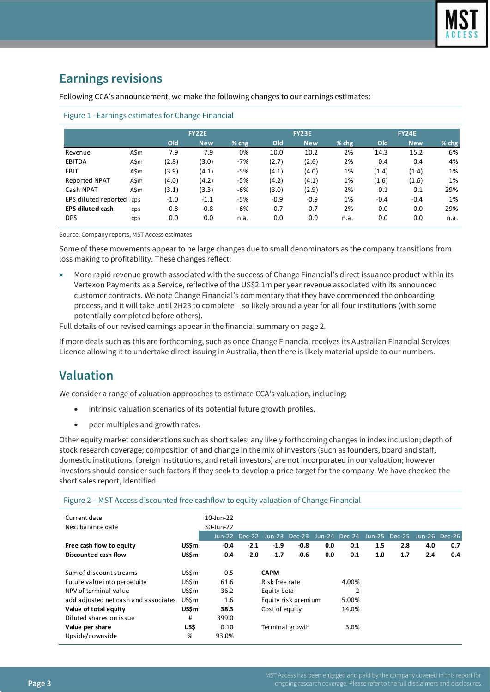# **Earnings revisions**

Following CCA's announcement, we make the following changes to our earnings estimates:

|                         |            | <b>FY22E</b> |            |         | <b>FY23E</b> |            |         | <b>FY24E</b> |            |         |  |
|-------------------------|------------|--------------|------------|---------|--------------|------------|---------|--------------|------------|---------|--|
|                         |            | Old          | <b>New</b> | $%$ chg | Old          | <b>New</b> | $%$ chg | Old          | <b>New</b> | % $chg$ |  |
| Revenue                 | A\$m       | 7.9          | 7.9        | 0%      | 10.0         | 10.2       | 2%      | 14.3         | 15.2       | 6%      |  |
| EBITDA                  | A\$m       | (2.8)        | (3.0)      | -7%     | (2.7)        | (2.6)      | 2%      | 0.4          | 0.4        | 4%      |  |
| EBIT                    | A\$m       | (3.9)        | (4.1)      | $-5%$   | (4.1)        | (4.0)      | 1%      | (1.4)        | (1.4)      | 1%      |  |
| Reported NPAT           | A\$m       | (4.0)        | (4.2)      | -5%     | (4.2)        | (4.1)      | 1%      | (1.6)        | (1.6)      | 1%      |  |
| Cash NPAT               | A\$m       | (3.1)        | (3.3)      | $-6%$   | (3.0)        | (2.9)      | 2%      | 0.1          | 0.1        | 29%     |  |
| EPS diluted reported    | <b>CDS</b> | $-1.0$       | $-1.1$     | -5%     | $-0.9$       | $-0.9$     | 1%      | $-0.4$       | $-0.4$     | 1%      |  |
| <b>EPS diluted cash</b> | cps        | $-0.8$       | $-0.8$     | -6%     | $-0.7$       | $-0.7$     | 2%      | 0.0          | 0.0        | 29%     |  |
| <b>DPS</b>              | cps        | 0.0          | 0.0        | n.a.    | 0.0          | 0.0        | n.a.    | 0.0          | 0.0        | n.a.    |  |

#### Figure 1 –Earnings estimates for Change Financial

Source: Company reports, MST Access estimates

Some of these movements appear to be large changes due to small denominators as the company transitions from loss making to profitability. These changes reflect:

• More rapid revenue growth associated with the success of Change Financial's direct issuance product within its Vertexon Payments as a Service, reflective of the US\$2.1m per year revenue associated with its announced customer contracts. We note Change Financial's commentary that they have commenced the onboarding process, and it will take until 2H23 to complete – so likely around a year for all four institutions (with some potentially completed before others).

Full details of our revised earnings appear in the financial summary on page 2.

If more deals such as this are forthcoming, such as once Change Financial receives its Australian Financial Services Licence allowing it to undertake direct issuing in Australia, then there is likely material upside to our numbers.

# **Valuation**

We consider a range of valuation approaches to estimate CCA's valuation, including:

- intrinsic valuation scenarios of its potential future growth profiles.
- peer multiples and growth rates.

Other equity market considerations such as short sales; any likely forthcoming changes in index inclusion; depth of stock research coverage; composition of and change in the mix of investors (such as founders, board and staff, domestic institutions, foreign institutions, and retail investors) are not incorporated in our valuation; however investors should consider such factors if they seek to develop a price target for the company. We have checked the short sales report, identified.

Figure 2 – MST Access discounted free cashflow to equity valuation of Change Financial

| Current date<br>Next balance date    |       | $10$ -Jun-22<br>30-Jun-22 |               |                 |                     |     |                             |     |     |               |     |
|--------------------------------------|-------|---------------------------|---------------|-----------------|---------------------|-----|-----------------------------|-----|-----|---------------|-----|
|                                      |       |                           | Jun-22 Dec-22 |                 | Jun-23 Dec-23       |     | Jun-24 Dec-24 Jun-25 Dec-25 |     |     | Jun-26 Dec-26 |     |
| Free cash flow to equity             | US\$m | $-0.4$                    | $-2.1$        | $-1.9$          | $-0.8$              | 0.0 | 0.1                         | 1.5 | 2.8 | 4.0           | 0.7 |
| Discounted cash flow                 | US\$m | $-0.4$                    | $-2.0$        | $-1.7$          | $-0.6$              | 0.0 | 0.1                         | 1.0 | 1.7 | 2.4           | 0.4 |
|                                      |       |                           |               |                 |                     |     |                             |     |     |               |     |
| Sum of discount streams              | US\$m | 0.5                       |               | <b>CAPM</b>     |                     |     |                             |     |     |               |     |
| Future value into perpetuity         | US\$m | 61.6                      |               | Risk free rate  |                     |     | 4.00%                       |     |     |               |     |
| NPV of terminal value                | US\$m | 36.2                      |               | Equity beta     |                     |     | 2                           |     |     |               |     |
| add adjusted net cash and associates | US\$m | 1.6                       |               |                 | Equity risk premium |     | 5.00%                       |     |     |               |     |
| Value of total equity                | US\$m | 38.3                      |               | Cost of equity  |                     |     | 14.0%                       |     |     |               |     |
| Diluted shares on issue              | #     | 399.0                     |               |                 |                     |     |                             |     |     |               |     |
| Value per share                      | US\$  | 0.10                      |               | Terminal growth |                     |     | 3.0%                        |     |     |               |     |
| Upside/downside                      | %     | 93.0%                     |               |                 |                     |     |                             |     |     |               |     |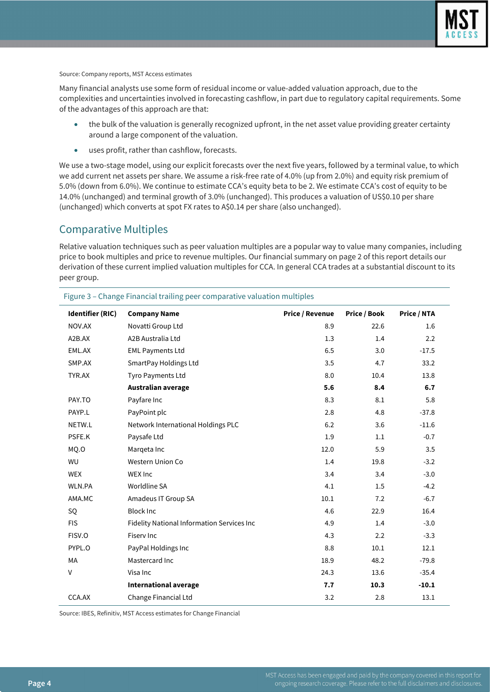

Source: Company reports, MST Access estimates

Many financial analysts use some form of residual income or value-added valuation approach, due to the complexities and uncertainties involved in forecasting cashflow, in part due to regulatory capital requirements. Some of the advantages of this approach are that:

- the bulk of the valuation is generally recognized upfront, in the net asset value providing greater certainty around a large component of the valuation.
- uses profit, rather than cashflow, forecasts.

We use a two-stage model, using our explicit forecasts over the next five years, followed by a terminal value, to which we add current net assets per share. We assume a risk-free rate of 4.0% (up from 2.0%) and equity risk premium of 5.0% (down from 6.0%). We continue to estimate CCA's equity beta to be 2. We estimate CCA's cost of equity to be 14.0% (unchanged) and terminal growth of 3.0% (unchanged). This produces a valuation of US\$0.10 per share (unchanged) which converts at spot FX rates to A\$0.14 per share (also unchanged).

## Comparative Multiples

Relative valuation techniques such as peer valuation multiples are a popular way to value many companies, including price to book multiples and price to revenue multiples. Our financial summary on page 2 of this report details our derivation of these current implied valuation multiples for CCA. In general CCA trades at a substantial discount to its peer group.

| Identifier (RIC) | <b>Company Name</b>                        | <b>Price / Revenue</b> | <b>Price / Book</b> | <b>Price / NTA</b> |
|------------------|--------------------------------------------|------------------------|---------------------|--------------------|
| NOV.AX           | Novatti Group Ltd                          | 8.9                    | 22.6                | 1.6                |
| A2B.AX           | A2B Australia Ltd                          | 1.3                    | 1.4                 | 2.2                |
| EML.AX           | <b>EML Payments Ltd</b>                    | 6.5                    | 3.0                 | $-17.5$            |
| SMP.AX           | SmartPay Holdings Ltd                      | 3.5                    | 4.7                 | 33.2               |
| TYR.AX           | Tyro Payments Ltd                          | 8.0                    | 10.4                | 13.8               |
|                  | Australian average                         | 5.6                    | 8.4                 | 6.7                |
| PAY.TO           | Payfare Inc                                | 8.3                    | 8.1                 | 5.8                |
| PAYP.L           | PayPoint plc                               | 2.8                    | 4.8                 | $-37.8$            |
| NETW.L           | Network International Holdings PLC         | 6.2                    | 3.6                 | $-11.6$            |
| PSFE.K           | Paysafe Ltd                                | 1.9                    | 1.1                 | $-0.7$             |
| MQ.O             | Margeta Inc                                | 12.0                   | 5.9                 | 3.5                |
| WU               | Western Union Co                           | 1.4                    | 19.8                | $-3.2$             |
| <b>WEX</b>       | WEX Inc                                    | 3.4                    | 3.4                 | $-3.0$             |
| WLN.PA           | Worldline SA                               | 4.1                    | 1.5                 | $-4.2$             |
| AMA.MC           | Amadeus IT Group SA                        | 10.1                   | 7.2                 | $-6.7$             |
| SQ               | <b>Block Inc</b>                           | 4.6                    | 22.9                | 16.4               |
| <b>FIS</b>       | Fidelity National Information Services Inc | 4.9                    | 1.4                 | $-3.0$             |
| FISV.O           | Fisery Inc                                 | 4.3                    | 2.2                 | $-3.3$             |
| PYPL.O           | PayPal Holdings Inc                        | 8.8                    | 10.1                | 12.1               |
| MA               | Mastercard Inc                             | 18.9                   | 48.2                | $-79.8$            |
| V                | Visa Inc                                   | 24.3                   | 13.6                | $-35.4$            |
|                  | <b>International average</b>               | 7.7                    | 10.3                | $-10.1$            |
| CCA.AX           | Change Financial Ltd                       | 3.2                    | 2.8                 | 13.1               |

Figure 3 – Change Financial trailing peer comparative valuation multiples

Source: IBES, Refinitiv, MST Access estimates for Change Financial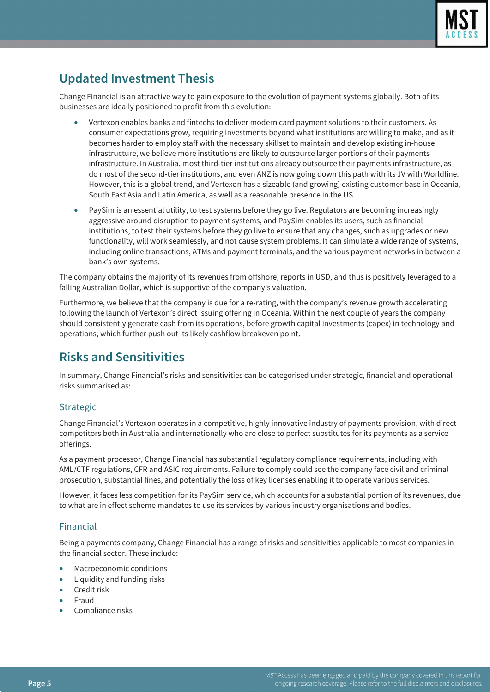

# **Updated Investment Thesis**

Change Financial is an attractive way to gain exposure to the evolution of payment systems globally. Both of its businesses are ideally positioned to profit from this evolution:

- Vertexon enables banks and fintechs to deliver modern card payment solutions to their customers. As consumer expectations grow, requiring investments beyond what institutions are willing to make, and as it becomes harder to employ staff with the necessary skillset to maintain and develop existing in-house infrastructure, we believe more institutions are likely to outsource larger portions of their payments infrastructure. In Australia, most third-tier institutions already outsource their payments infrastructure, as do most of the second-tier institutions, and even ANZ is now going down this path with its JV with Worldline. However, this is a global trend, and Vertexon has a sizeable (and growing) existing customer base in Oceania, South East Asia and Latin America, as well as a reasonable presence in the US.
- PaySim is an essential utility, to test systems before they go live. Regulators are becoming increasingly aggressive around disruption to payment systems, and PaySim enables its users, such as financial institutions, to test their systems before they go live to ensure that any changes, such as upgrades or new functionality, will work seamlessly, and not cause system problems. It can simulate a wide range of systems, including online transactions, ATMs and payment terminals, and the various payment networks in between a bank's own systems.

The company obtains the majority of its revenues from offshore, reports in USD, and thus is positively leveraged to a falling Australian Dollar, which is supportive of the company's valuation.

Furthermore, we believe that the company is due for a re-rating, with the company's revenue growth accelerating following the launch of Vertexon's direct issuing offering in Oceania. Within the next couple of years the company should consistently generate cash from its operations, before growth capital investments (capex) in technology and operations, which further push out its likely cashflow breakeven point.

# **Risks and Sensitivities**

In summary, Change Financial's risks and sensitivities can be categorised under strategic, financial and operational risks summarised as:

## Strategic

Change Financial's Vertexon operates in a competitive, highly innovative industry of payments provision, with direct competitors both in Australia and internationally who are close to perfect substitutes for its payments as a service offerings.

As a payment processor, Change Financial has substantial regulatory compliance requirements, including with AML/CTF regulations, CFR and ASIC requirements. Failure to comply could see the company face civil and criminal prosecution, substantial fines, and potentially the loss of key licenses enabling it to operate various services.

However, it faces less competition for its PaySim service, which accounts for a substantial portion of its revenues, due to what are in effect scheme mandates to use its services by various industry organisations and bodies.

## Financial

Being a payments company, Change Financial has a range of risks and sensitivities applicable to most companies in the financial sector. These include:

- Macroeconomic conditions
- Liquidity and funding risks
- Credit risk
- Fraud
- Compliance risks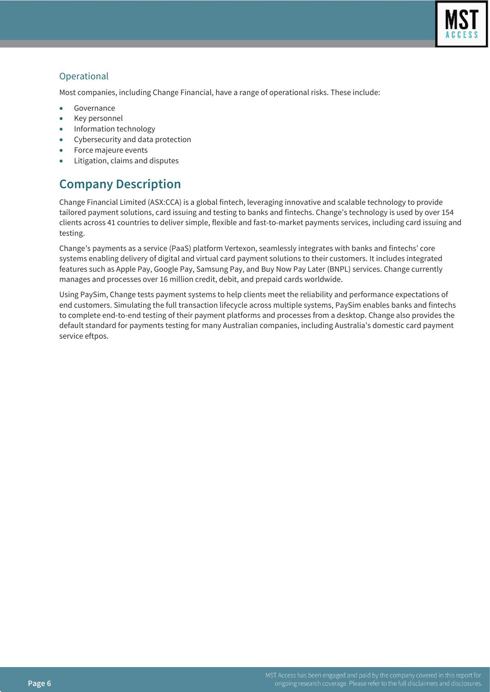

## **Operational**

Most companies, including Change Financial, have a range of operational risks. These include:

- **Governance**
- Key personnel
- Information technology
- Cybersecurity and data protection
- Force majeure events
- Litigation, claims and disputes

# **Company Description**

Change Financial Limited (ASX:CCA) is a global fintech, leveraging innovative and scalable technology to provide tailored payment solutions, card issuing and testing to banks and fintechs. Change's technology is used by over 154 clients across 41 countries to deliver simple, flexible and fast-to-market payments services, including card issuing and testing.

Change's payments as a service (PaaS) platform Vertexon, seamlessly integrates with banks and fintechs' core systems enabling delivery of digital and virtual card payment solutions to their customers. It includes integrated features such as Apple Pay, Google Pay, Samsung Pay, and Buy Now Pay Later (BNPL) services. Change currently manages and processes over 16 million credit, debit, and prepaid cards worldwide.

Using PaySim, Change tests payment systems to help clients meet the reliability and performance expectations of end customers. Simulating the full transaction lifecycle across multiple systems, PaySim enables banks and fintechs to complete end-to-end testing of their payment platforms and processes from a desktop. Change also provides the default standard for payments testing for many Australian companies, including Australia's domestic card payment service eftpos.